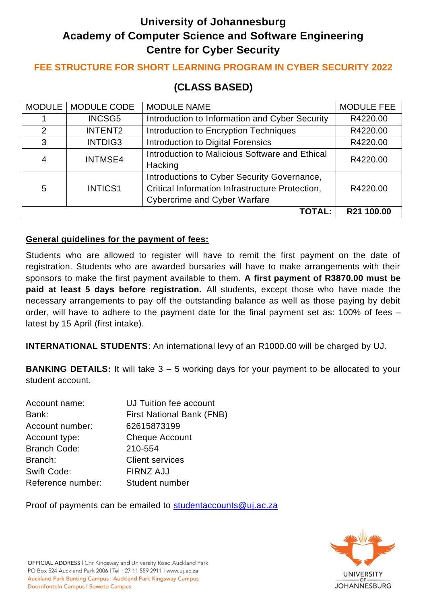# **University of Johannesburg Academy of Computer Science and Software Engineering Centre for Cyber Security**

### **FEE STRUCTURE FOR SHORT LEARNING PROGRAM IN CYBER SECURITY 2022**

## **(CLASS BASED)**

|                | MODULE   MODULE CODE | <b>MODULE NAME</b>                              | <b>MODULE FEE</b> |
|----------------|----------------------|-------------------------------------------------|-------------------|
|                | <b>INCSG5</b>        | Introduction to Information and Cyber Security  | R4220.00          |
| $\overline{2}$ | <b>INTENT2</b>       | Introduction to Encryption Techniques           | R4220.00          |
| 3              | INTDIG3              | Introduction to Digital Forensics               | R4220.00          |
| 4              | <b>INTMSE4</b>       | Introduction to Malicious Software and Ethical  | R4220.00          |
|                |                      | Hacking                                         |                   |
| 5              | <b>INTICS1</b>       | Introductions to Cyber Security Governance,     |                   |
|                |                      | Critical Information Infrastructure Protection, | R4220.00          |
|                |                      | <b>Cybercrime and Cyber Warfare</b>             |                   |
|                |                      | <b>TOTAL:</b>                                   | R21 100.00        |

#### **General guidelines for the payment of fees:**

Students who are allowed to register will have to remit the first payment on the date of registration. Students who are awarded bursaries will have to make arrangements with their sponsors to make the first payment available to them. **A first payment of R3870.00 must be paid at least 5 days before registration.** All students, except those who have made the necessary arrangements to pay off the outstanding balance as well as those paying by debit order, will have to adhere to the payment date for the final payment set as: 100% of fees – latest by 15 April (first intake).

**INTERNATIONAL STUDENTS**: An international levy of an R1000.00 will be charged by UJ.

**BANKING DETAILS:** It will take 3 – 5 working days for your payment to be allocated to your student account.

| Account name:       | UJ Tuition fee account           |
|---------------------|----------------------------------|
| Bank:               | <b>First National Bank (FNB)</b> |
| Account number:     | 62615873199                      |
| Account type:       | <b>Cheque Account</b>            |
| <b>Branch Code:</b> | 210-554                          |
| Branch:             | <b>Client services</b>           |
| <b>Swift Code:</b>  | <b>FIRNZ AJJ</b>                 |
| Reference number:   | Student number                   |

Proof of payments can be emailed to [studentaccounts@uj.ac.za](mailto:studentaccounts@uj.ac.za)